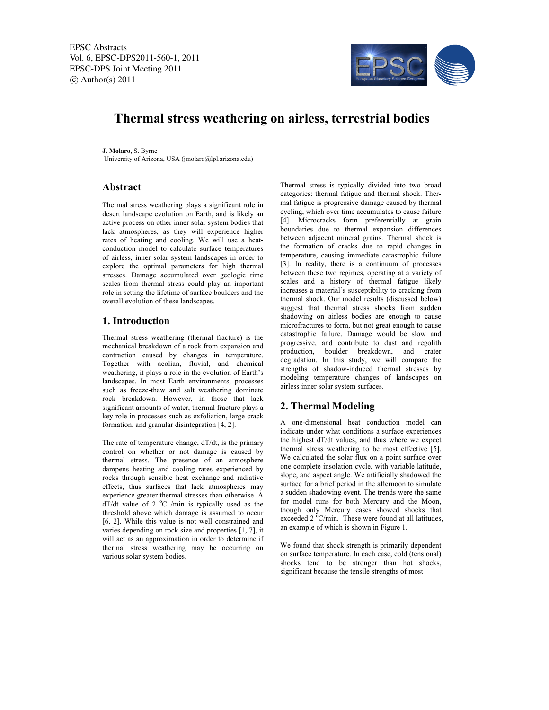EPSC Abstracts Vol. 6, EPSC-DPS2011-560-1, 2011 EPSC-DPS Joint Meeting 2011  $\circ$  Author(s) 2011



# **Thermal stress weathering on airless, terrestrial bodies**

**J. Molaro**, S. Byrne University of Arizona, USA (jmolaro@lpl.arizona.edu)

# **Abstract**

Thermal stress weathering plays a significant role in desert landscape evolution on Earth, and is likely an active process on other inner solar system bodies that lack atmospheres, as they will experience higher rates of heating and cooling. We will use a heatconduction model to calculate surface temperatures of airless, inner solar system landscapes in order to explore the optimal parameters for high thermal stresses. Damage accumulated over geologic time scales from thermal stress could play an important role in setting the lifetime of surface boulders and the overall evolution of these landscapes.

### **1. Introduction**

Thermal stress weathering (thermal fracture) is the mechanical breakdown of a rock from expansion and contraction caused by changes in temperature. Together with aeolian, fluvial, and chemical weathering, it plays a role in the evolution of Earth's landscapes. In most Earth environments, processes such as freeze-thaw and salt weathering dominate rock breakdown. However, in those that lack significant amounts of water, thermal fracture plays a key role in processes such as exfoliation, large crack formation, and granular disintegration [4, 2].

The rate of temperature change, dT/dt, is the primary control on whether or not damage is caused by thermal stress. The presence of an atmosphere dampens heating and cooling rates experienced by rocks through sensible heat exchange and radiative effects, thus surfaces that lack atmospheres may experience greater thermal stresses than otherwise. A  $dT/dt$  value of 2  $^{\circ}$ C /min is typically used as the threshold above which damage is assumed to occur [6, 2]. While this value is not well constrained and varies depending on rock size and properties [1, 7], it will act as an approximation in order to determine if thermal stress weathering may be occurring on various solar system bodies.

Thermal stress is typically divided into two broad categories: thermal fatigue and thermal shock. Thermal fatigue is progressive damage caused by thermal cycling, which over time accumulates to cause failure [4]. Microcracks form preferentially at grain boundaries due to thermal expansion differences between adjacent mineral grains. Thermal shock is the formation of cracks due to rapid changes in temperature, causing immediate catastrophic failure [3]. In reality, there is a continuum of processes between these two regimes, operating at a variety of scales and a history of thermal fatigue likely increases a material's susceptibility to cracking from thermal shock. Our model results (discussed below) suggest that thermal stress shocks from sudden shadowing on airless bodies are enough to cause microfractures to form, but not great enough to cause catastrophic failure. Damage would be slow and progressive, and contribute to dust and regolith production, boulder breakdown, and crater degradation. In this study, we will compare the strengths of shadow-induced thermal stresses by modeling temperature changes of landscapes on airless inner solar system surfaces.

# **2. Thermal Modeling**

A one-dimensional heat conduction model can indicate under what conditions a surface experiences the highest dT/dt values, and thus where we expect thermal stress weathering to be most effective [5]. We calculated the solar flux on a point surface over one complete insolation cycle, with variable latitude, slope, and aspect angle. We artificially shadowed the surface for a brief period in the afternoon to simulate a sudden shadowing event. The trends were the same for model runs for both Mercury and the Moon, though only Mercury cases showed shocks that exceeded  $2^{\circ}$ C/min. These were found at all latitudes, an example of which is shown in Figure 1.

We found that shock strength is primarily dependent on surface temperature. In each case, cold (tensional) shocks tend to be stronger than hot shocks, significant because the tensile strengths of most